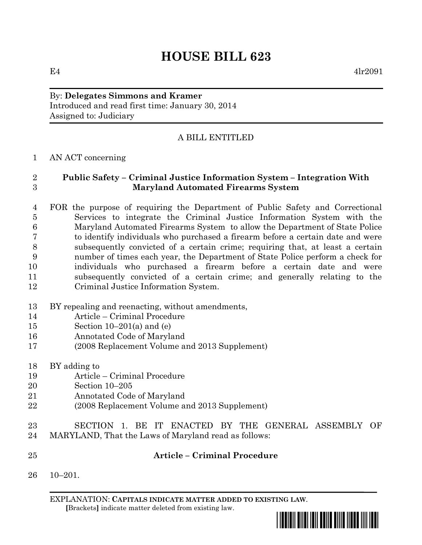# **HOUSE BILL 623**

 $E4$  4lr2091

## By: **Delegates Simmons and Kramer**

Introduced and read first time: January 30, 2014 Assigned to: Judiciary

### A BILL ENTITLED

#### AN ACT concerning

#### **Public Safety – Criminal Justice Information System – Integration With Maryland Automated Firearms System**

 FOR the purpose of requiring the Department of Public Safety and Correctional Services to integrate the Criminal Justice Information System with the Maryland Automated Firearms System to allow the Department of State Police to identify individuals who purchased a firearm before a certain date and were subsequently convicted of a certain crime; requiring that, at least a certain number of times each year, the Department of State Police perform a check for individuals who purchased a firearm before a certain date and were subsequently convicted of a certain crime; and generally relating to the Criminal Justice Information System.

- BY repealing and reenacting, without amendments,
- Article Criminal Procedure
- Section 10–201(a) and (e)
- Annotated Code of Maryland
- (2008 Replacement Volume and 2013 Supplement)
- BY adding to
- Article Criminal Procedure
- Section 10–205
- Annotated Code of Maryland
- (2008 Replacement Volume and 2013 Supplement)
- SECTION 1. BE IT ENACTED BY THE GENERAL ASSEMBLY OF MARYLAND, That the Laws of Maryland read as follows:
- **Article – Criminal Procedure**
- 10–201.

EXPLANATION: **CAPITALS INDICATE MATTER ADDED TO EXISTING LAW**.  **[**Brackets**]** indicate matter deleted from existing law.